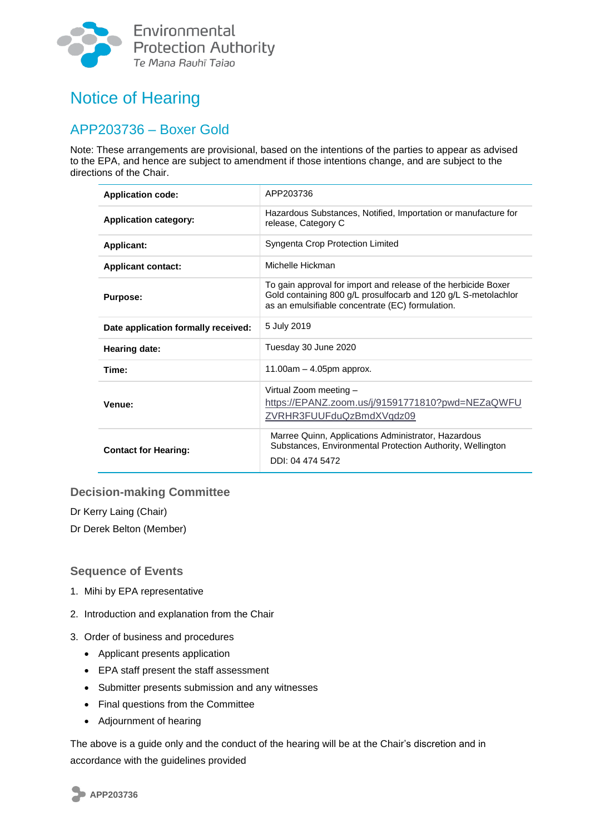

# Notice of Hearing

## APP203736 – Boxer Gold

Note: These arrangements are provisional, based on the intentions of the parties to appear as advised to the EPA, and hence are subject to amendment if those intentions change, and are subject to the directions of the Chair.

| <b>Application code:</b>            | APP203736                                                                                                                                                                            |  |
|-------------------------------------|--------------------------------------------------------------------------------------------------------------------------------------------------------------------------------------|--|
| <b>Application category:</b>        | Hazardous Substances, Notified, Importation or manufacture for<br>release, Category C                                                                                                |  |
| <b>Applicant:</b>                   | Syngenta Crop Protection Limited                                                                                                                                                     |  |
| <b>Applicant contact:</b>           | Michelle Hickman                                                                                                                                                                     |  |
| <b>Purpose:</b>                     | To gain approval for import and release of the herbicide Boxer<br>Gold containing 800 g/L prosulfocarb and 120 g/L S-metolachlor<br>as an emulsifiable concentrate (EC) formulation. |  |
| Date application formally received: | 5 July 2019                                                                                                                                                                          |  |
| Hearing date:                       | Tuesday 30 June 2020                                                                                                                                                                 |  |
| Time:                               | 11.00am - 4.05pm approx.                                                                                                                                                             |  |
| Venue:                              | Virtual Zoom meeting -<br>https://EPANZ.zoom.us/j/91591771810?pwd=NEZaQWFU<br>ZVRHR3FUUFduQzBmdXVqdz09                                                                               |  |
| <b>Contact for Hearing:</b>         | Marree Quinn, Applications Administrator, Hazardous<br>Substances, Environmental Protection Authority, Wellington<br>DDI: 04 474 5472                                                |  |

#### **Decision-making Committee**

Dr Kerry Laing (Chair)

Dr Derek Belton (Member)

#### **Sequence of Events**

- 1. Mihi by EPA representative
- 2. Introduction and explanation from the Chair
- 3. Order of business and procedures
	- Applicant presents application
	- EPA staff present the staff assessment
	- Submitter presents submission and any witnesses
	- Final questions from the Committee
	- Adjournment of hearing

The above is a guide only and the conduct of the hearing will be at the Chair's discretion and in accordance with the guidelines provided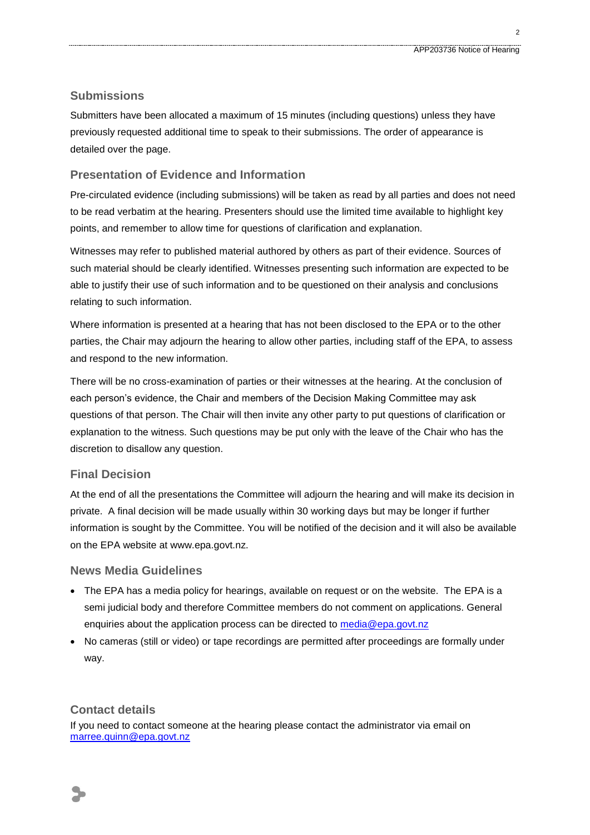$\mathcal{L}$ 

#### **Submissions**

Submitters have been allocated a maximum of 15 minutes (including questions) unless they have previously requested additional time to speak to their submissions. The order of appearance is detailed over the page.

#### **Presentation of Evidence and Information**

Pre-circulated evidence (including submissions) will be taken as read by all parties and does not need to be read verbatim at the hearing. Presenters should use the limited time available to highlight key points, and remember to allow time for questions of clarification and explanation.

Witnesses may refer to published material authored by others as part of their evidence. Sources of such material should be clearly identified. Witnesses presenting such information are expected to be able to justify their use of such information and to be questioned on their analysis and conclusions relating to such information.

Where information is presented at a hearing that has not been disclosed to the EPA or to the other parties, the Chair may adjourn the hearing to allow other parties, including staff of the EPA, to assess and respond to the new information.

There will be no cross-examination of parties or their witnesses at the hearing. At the conclusion of each person's evidence, the Chair and members of the Decision Making Committee may ask questions of that person. The Chair will then invite any other party to put questions of clarification or explanation to the witness. Such questions may be put only with the leave of the Chair who has the discretion to disallow any question.

#### **Final Decision**

At the end of all the presentations the Committee will adjourn the hearing and will make its decision in private. A final decision will be made usually within 30 working days but may be longer if further information is sought by the Committee. You will be notified of the decision and it will also be available on the EPA website at www.epa.govt.nz.

#### **News Media Guidelines**

- The EPA has a media policy for hearings, available on request or on the website. The EPA is a semi judicial body and therefore Committee members do not comment on applications. General enquiries about the application process can be directed to [media@epa.govt.nz](mailto:media@epa.govt.nz)
- No cameras (still or video) or tape recordings are permitted after proceedings are formally under way.

#### **Contact details**

If you need to contact someone at the hearing please contact the administrator via email on [marree.quinn@epa.govt.nz](mailto:marree.quinn@epa.govt.nz)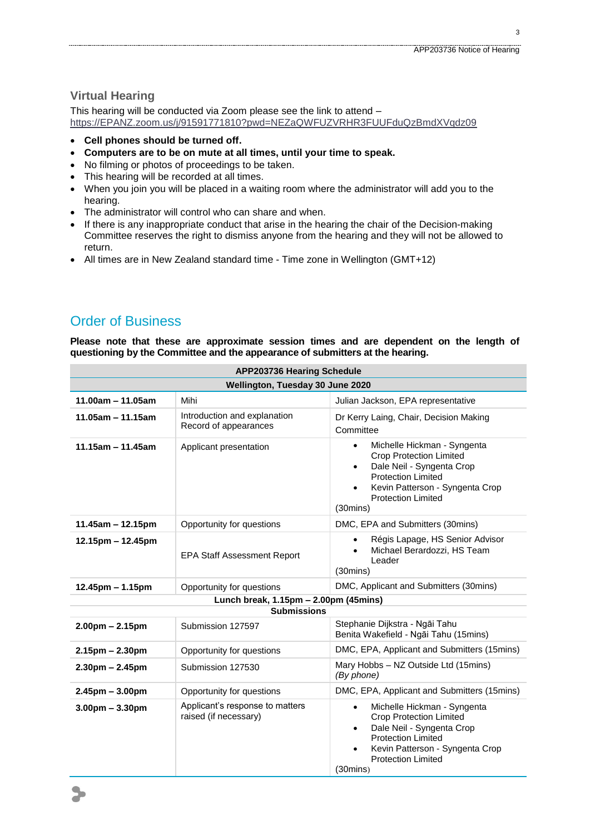3

### **Virtual Hearing**

This hearing will be conducted via Zoom please see the link to attend – [https://EPANZ.zoom.us/j/91591771810?pwd=NEZaQWFUZVRHR3FUUFduQzBmdXVqdz09](https://epanz.zoom.us/j/91591771810?pwd=NEZaQWFUZVRHR3FUUFduQzBmdXVqdz09)

- **Cell phones should be turned off.**
- **Computers are to be on mute at all times, until your time to speak.**
- No filming or photos of proceedings to be taken.
- This hearing will be recorded at all times.
- When you join you will be placed in a waiting room where the administrator will add you to the hearing.
- The administrator will control who can share and when.
- If there is any inappropriate conduct that arise in the hearing the chair of the Decision-making Committee reserves the right to dismiss anyone from the hearing and they will not be allowed to return.
- All times are in New Zealand standard time Time zone in Wellington (GMT+12)

## Order of Business

**Please note that these are approximate session times and are dependent on the length of questioning by the Committee and the appearance of submitters at the hearing.**

| <b>APP203736 Hearing Schedule</b>     |                                                          |                                                                                                                                                                                                                                                      |  |  |
|---------------------------------------|----------------------------------------------------------|------------------------------------------------------------------------------------------------------------------------------------------------------------------------------------------------------------------------------------------------------|--|--|
| Wellington, Tuesday 30 June 2020      |                                                          |                                                                                                                                                                                                                                                      |  |  |
| $11.00am - 11.05am$                   | Mihi                                                     | Julian Jackson, EPA representative                                                                                                                                                                                                                   |  |  |
| $11.05$ am - 11.15am                  | Introduction and explanation<br>Record of appearances    | Dr Kerry Laing, Chair, Decision Making<br>Committee                                                                                                                                                                                                  |  |  |
| $11.15$ am - 11.45am                  | Applicant presentation                                   | Michelle Hickman - Syngenta<br>$\bullet$<br><b>Crop Protection Limited</b><br>Dale Neil - Syngenta Crop<br>$\bullet$<br><b>Protection Limited</b><br>Kevin Patterson - Syngenta Crop<br>$\bullet$<br><b>Protection Limited</b><br>$(30 \text{mins})$ |  |  |
| $11.45$ am – 12.15pm                  | Opportunity for questions                                | DMC, EPA and Submitters (30mins)                                                                                                                                                                                                                     |  |  |
| $12.15$ pm – 12.45pm                  | <b>EPA Staff Assessment Report</b>                       | Régis Lapage, HS Senior Advisor<br>$\bullet$<br>Michael Berardozzi, HS Team<br>Leader<br>$(30 \text{mins})$                                                                                                                                          |  |  |
| 12.45pm - 1.15pm                      | Opportunity for questions                                | DMC, Applicant and Submitters (30mins)                                                                                                                                                                                                               |  |  |
| Lunch break, 1.15pm - 2.00pm (45mins) |                                                          |                                                                                                                                                                                                                                                      |  |  |
| <b>Submissions</b>                    |                                                          |                                                                                                                                                                                                                                                      |  |  |
| $2.00$ pm $- 2.15$ pm                 | Submission 127597                                        | Stephanie Dijkstra - Ngāi Tahu<br>Benita Wakefield - Ngāi Tahu (15mins)                                                                                                                                                                              |  |  |
| $2.15$ pm – 2.30pm                    | Opportunity for questions                                | DMC, EPA, Applicant and Submitters (15mins)                                                                                                                                                                                                          |  |  |
| $2.30pm - 2.45pm$                     | Submission 127530                                        | Mary Hobbs - NZ Outside Ltd (15mins)<br>(By phone)                                                                                                                                                                                                   |  |  |
| $2.45$ pm – $3.00$ pm                 | Opportunity for questions                                | DMC, EPA, Applicant and Submitters (15mins)                                                                                                                                                                                                          |  |  |
| $3.00pm - 3.30pm$                     | Applicant's response to matters<br>raised (if necessary) | Michelle Hickman - Syngenta<br>$\bullet$<br><b>Crop Protection Limited</b><br>Dale Neil - Syngenta Crop<br>$\bullet$<br><b>Protection Limited</b><br>Kevin Patterson - Syngenta Crop<br>$\bullet$<br><b>Protection Limited</b><br>$(30 \text{mins})$ |  |  |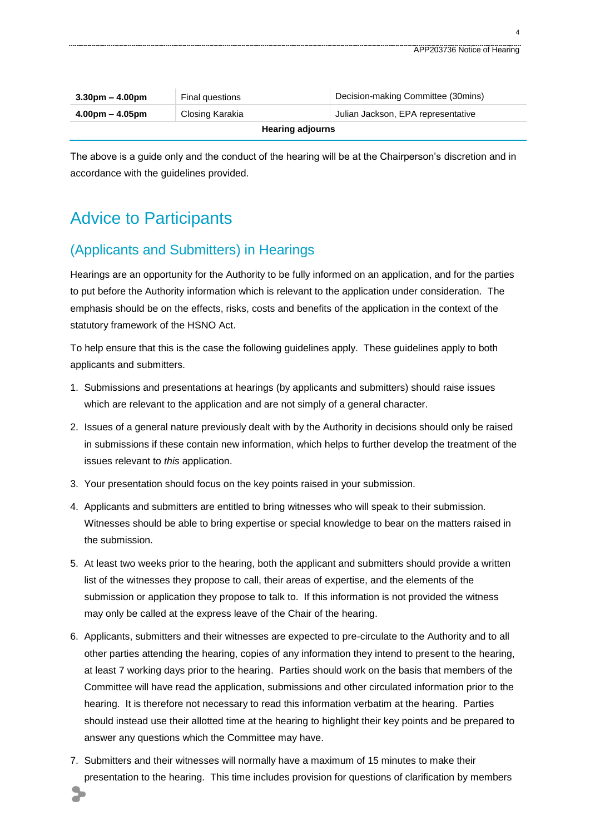| $3.30 \text{pm} - 4.00 \text{pm}$ | <b>Final questions</b> | Decision-making Committee (30mins) |  |  |
|-----------------------------------|------------------------|------------------------------------|--|--|
| $4.00pm - 4.05pm$                 | Closing Karakia        | Julian Jackson, EPA representative |  |  |
| <b>Hearing adjourns</b>           |                        |                                    |  |  |

The above is a guide only and the conduct of the hearing will be at the Chairperson's discretion and in accordance with the guidelines provided.

# Advice to Participants

### (Applicants and Submitters) in Hearings

Hearings are an opportunity for the Authority to be fully informed on an application, and for the parties to put before the Authority information which is relevant to the application under consideration. The emphasis should be on the effects, risks, costs and benefits of the application in the context of the statutory framework of the HSNO Act.

To help ensure that this is the case the following guidelines apply. These guidelines apply to both applicants and submitters.

- 1. Submissions and presentations at hearings (by applicants and submitters) should raise issues which are relevant to the application and are not simply of a general character.
- 2. Issues of a general nature previously dealt with by the Authority in decisions should only be raised in submissions if these contain new information, which helps to further develop the treatment of the issues relevant to *this* application.
- 3. Your presentation should focus on the key points raised in your submission.
- 4. Applicants and submitters are entitled to bring witnesses who will speak to their submission. Witnesses should be able to bring expertise or special knowledge to bear on the matters raised in the submission.
- 5. At least two weeks prior to the hearing, both the applicant and submitters should provide a written list of the witnesses they propose to call, their areas of expertise, and the elements of the submission or application they propose to talk to. If this information is not provided the witness may only be called at the express leave of the Chair of the hearing.
- 6. Applicants, submitters and their witnesses are expected to pre-circulate to the Authority and to all other parties attending the hearing, copies of any information they intend to present to the hearing, at least 7 working days prior to the hearing. Parties should work on the basis that members of the Committee will have read the application, submissions and other circulated information prior to the hearing. It is therefore not necessary to read this information verbatim at the hearing. Parties should instead use their allotted time at the hearing to highlight their key points and be prepared to answer any questions which the Committee may have.
- 7. Submitters and their witnesses will normally have a maximum of 15 minutes to make their presentation to the hearing. This time includes provision for questions of clarification by members